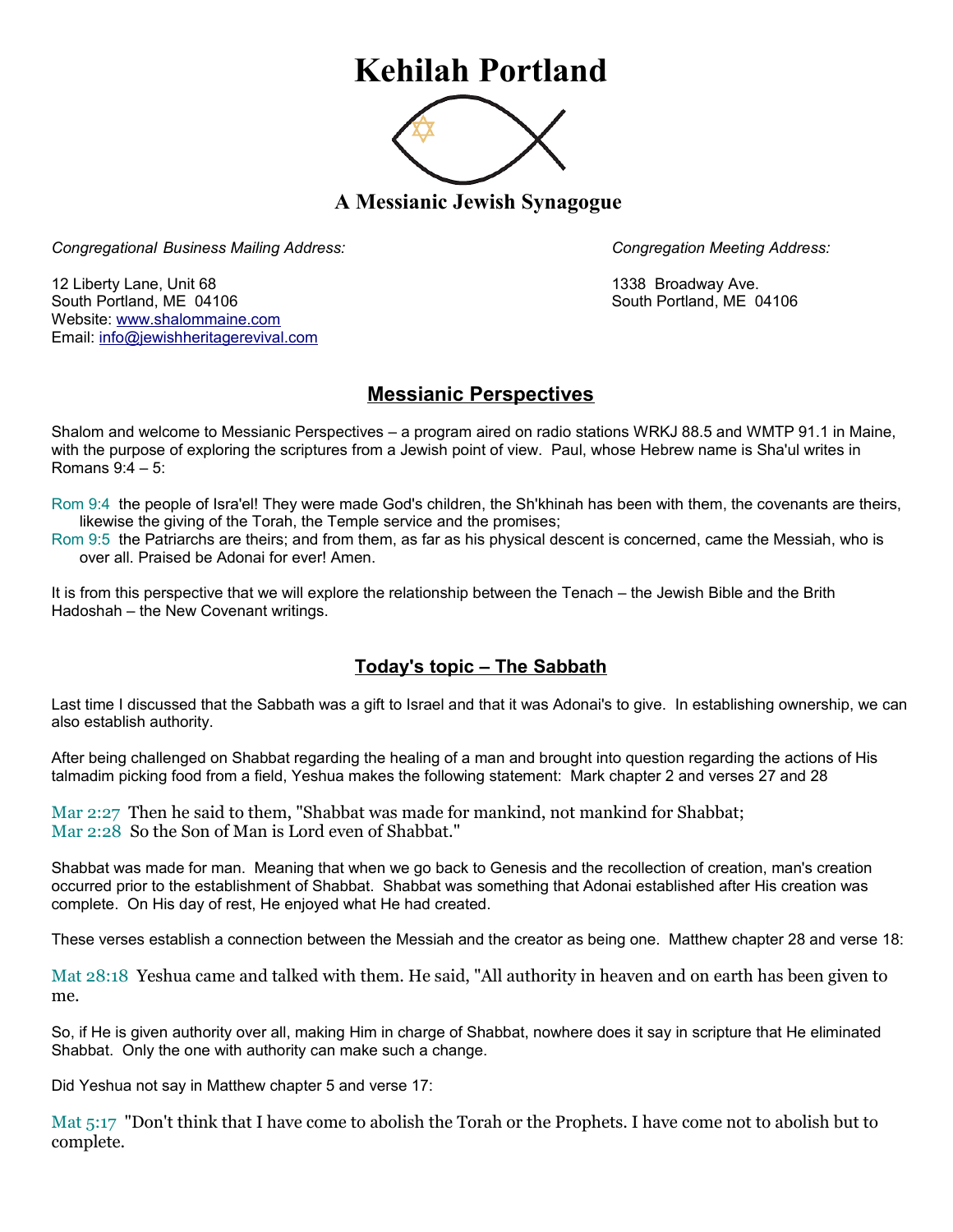# **Kehilah Portland**



**A Messianic Jewish Synagogue** 

*Congregational Business Mailing Address: Congregation Meeting Address:*

12 Liberty Lane, Unit 68 1338 Broadway Ave. South Portland, ME 04106 South Portland, ME 04106 Website: [www.shalommaine.com](http://www.shalommaine.com/) Email: [info@jewishheritagerevival.com](mailto:info@jewishheritagerevival.com) 

## **Messianic Perspectives**

Shalom and welcome to Messianic Perspectives – a program aired on radio stations WRKJ 88.5 and WMTP 91.1 in Maine, with the purpose of exploring the scriptures from a Jewish point of view. Paul, whose Hebrew name is Sha'ul writes in Romans 9:4 – 5:

Rom 9:4 the people of Isra'el! They were made God's children, the Sh'khinah has been with them, the covenants are theirs, likewise the giving of the Torah, the Temple service and the promises;

Rom 9:5 the Patriarchs are theirs; and from them, as far as his physical descent is concerned, came the Messiah, who is over all. Praised be Adonai for ever! Amen.

It is from this perspective that we will explore the relationship between the Tenach – the Jewish Bible and the Brith Hadoshah – the New Covenant writings.

### **Today's topic – The Sabbath**

Last time I discussed that the Sabbath was a gift to Israel and that it was Adonai's to give. In establishing ownership, we can also establish authority.

After being challenged on Shabbat regarding the healing of a man and brought into question regarding the actions of His talmadim picking food from a field, Yeshua makes the following statement: Mark chapter 2 and verses 27 and 28

Mar 2:27 Then he said to them, "Shabbat was made for mankind, not mankind for Shabbat; Mar 2:28 So the Son of Man is Lord even of Shabbat."

Shabbat was made for man. Meaning that when we go back to Genesis and the recollection of creation, man's creation occurred prior to the establishment of Shabbat. Shabbat was something that Adonai established after His creation was complete. On His day of rest, He enjoyed what He had created.

These verses establish a connection between the Messiah and the creator as being one. Matthew chapter 28 and verse 18:

Mat 28:18 Yeshua came and talked with them. He said, "All authority in heaven and on earth has been given to me.

So, if He is given authority over all, making Him in charge of Shabbat, nowhere does it say in scripture that He eliminated Shabbat. Only the one with authority can make such a change.

Did Yeshua not say in Matthew chapter 5 and verse 17:

Mat 5:17 "Don't think that I have come to abolish the Torah or the Prophets. I have come not to abolish but to complete.